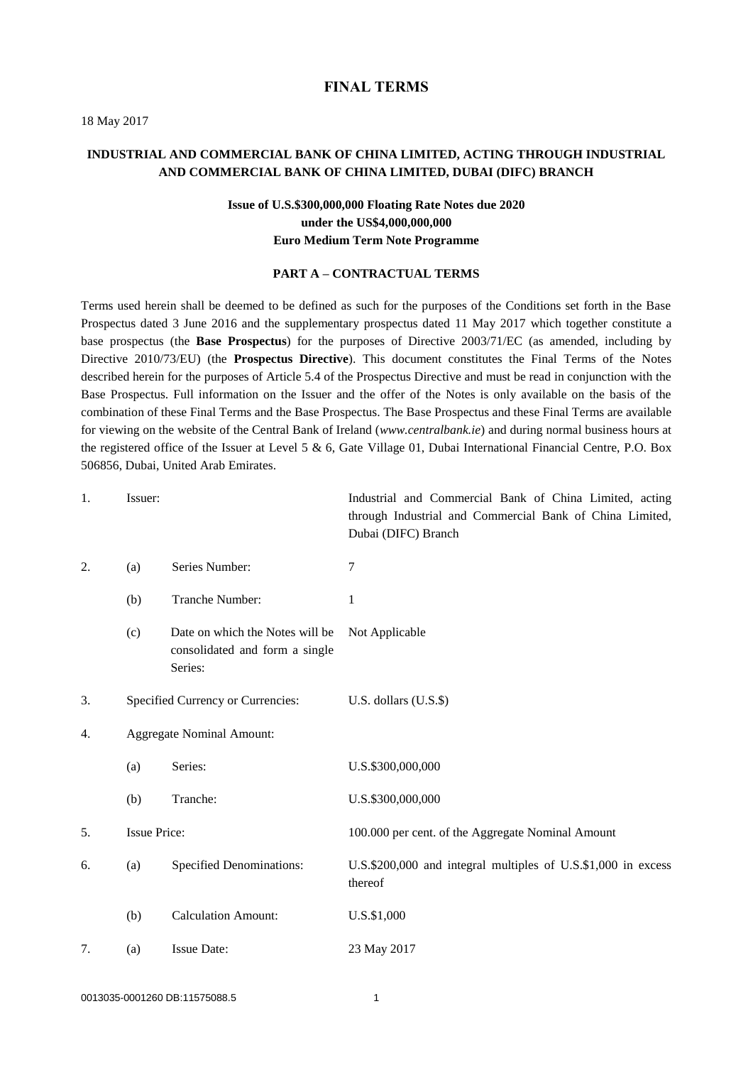#### **FINAL TERMS**

18 May 2017

## **INDUSTRIAL AND COMMERCIAL BANK OF CHINA LIMITED, ACTING THROUGH INDUSTRIAL AND COMMERCIAL BANK OF CHINA LIMITED, DUBAI (DIFC) BRANCH**

# **Issue of U.S.\$300,000,000 Floating Rate Notes due 2020 under the US\$4,000,000,000 Euro Medium Term Note Programme**

#### **PART A – CONTRACTUAL TERMS**

Terms used herein shall be deemed to be defined as such for the purposes of the Conditions set forth in the Base Prospectus dated 3 June 2016 and the supplementary prospectus dated 11 May 2017 which together constitute a base prospectus (the **Base Prospectus**) for the purposes of Directive 2003/71/EC (as amended, including by Directive 2010/73/EU) (the **Prospectus Directive**). This document constitutes the Final Terms of the Notes described herein for the purposes of Article 5.4 of the Prospectus Directive and must be read in conjunction with the Base Prospectus. Full information on the Issuer and the offer of the Notes is only available on the basis of the combination of these Final Terms and the Base Prospectus. The Base Prospectus and these Final Terms are available for viewing on the website [of](Working%20Files/WF/of) the Central Bank of Ireland (*www.centralbank.ie*) and during normal business hours at the registered office of the Issuer at Level 5 & 6, Gate Village 01, Dubai International Financial Centre, P.O. Box 506856, Dubai, United Arab Emirates.

| 1. | Issuer:                           |                                                                              | Industrial and Commercial Bank of China Limited, acting<br>through Industrial and Commercial Bank of China Limited,<br>Dubai (DIFC) Branch |
|----|-----------------------------------|------------------------------------------------------------------------------|--------------------------------------------------------------------------------------------------------------------------------------------|
| 2. | (a)                               | Series Number:                                                               | 7                                                                                                                                          |
|    | (b)                               | Tranche Number:                                                              | 1                                                                                                                                          |
|    | (c)                               | Date on which the Notes will be<br>consolidated and form a single<br>Series: | Not Applicable                                                                                                                             |
| 3. | Specified Currency or Currencies: |                                                                              | U.S. dollars (U.S.\$)                                                                                                                      |
| 4. | <b>Aggregate Nominal Amount:</b>  |                                                                              |                                                                                                                                            |
|    | (a)                               | Series:                                                                      | U.S.\$300,000,000                                                                                                                          |
|    | (b)                               | Tranche:                                                                     | U.S.\$300,000,000                                                                                                                          |
| 5. | <b>Issue Price:</b>               |                                                                              | 100.000 per cent. of the Aggregate Nominal Amount                                                                                          |
| 6. | (a)                               | Specified Denominations:                                                     | U.S.\$200,000 and integral multiples of U.S.\$1,000 in excess<br>thereof                                                                   |
|    | (b)                               | <b>Calculation Amount:</b>                                                   | U.S.\$1,000                                                                                                                                |
| 7. | (a)                               | <b>Issue Date:</b>                                                           | 23 May 2017                                                                                                                                |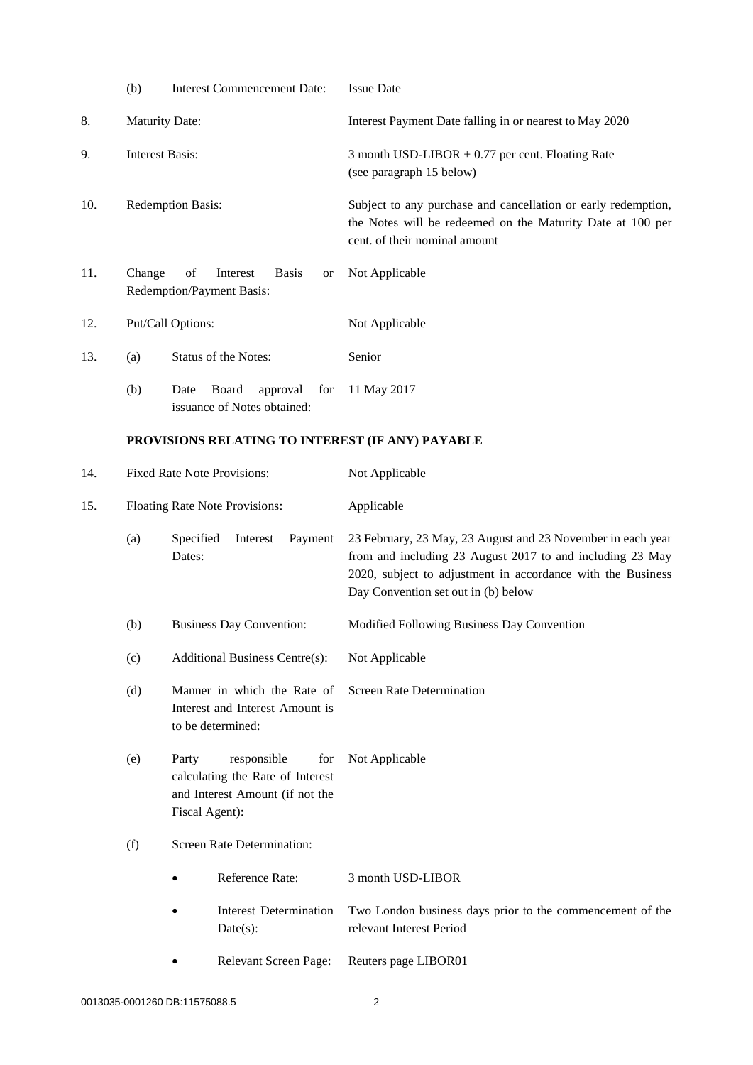|     | (b)                                                                                                                                                              | <b>Interest Commencement Date:</b>                                                  | <b>Issue Date</b>                                                                                                                                                                                                              |
|-----|------------------------------------------------------------------------------------------------------------------------------------------------------------------|-------------------------------------------------------------------------------------|--------------------------------------------------------------------------------------------------------------------------------------------------------------------------------------------------------------------------------|
| 8.  | Maturity Date:                                                                                                                                                   |                                                                                     | Interest Payment Date falling in or nearest to May 2020                                                                                                                                                                        |
| 9.  | <b>Interest Basis:</b>                                                                                                                                           |                                                                                     | 3 month USD-LIBOR $+0.77$ per cent. Floating Rate<br>(see paragraph 15 below)                                                                                                                                                  |
| 10. | <b>Redemption Basis:</b>                                                                                                                                         |                                                                                     | Subject to any purchase and cancellation or early redemption,<br>the Notes will be redeemed on the Maturity Date at 100 per<br>cent. of their nominal amount                                                                   |
| 11. | of<br>Change<br>Interest<br><b>Basis</b><br><b>or</b><br>Redemption/Payment Basis:                                                                               |                                                                                     | Not Applicable                                                                                                                                                                                                                 |
| 12. |                                                                                                                                                                  | Put/Call Options:                                                                   | Not Applicable                                                                                                                                                                                                                 |
| 13. | (a)                                                                                                                                                              | Status of the Notes:                                                                | Senior                                                                                                                                                                                                                         |
|     | (b)                                                                                                                                                              | Board<br>Date<br>approval<br>for<br>issuance of Notes obtained:                     | 11 May 2017                                                                                                                                                                                                                    |
|     | PROVISIONS RELATING TO INTEREST (IF ANY) PAYABLE                                                                                                                 |                                                                                     |                                                                                                                                                                                                                                |
| 14. |                                                                                                                                                                  | <b>Fixed Rate Note Provisions:</b>                                                  | Not Applicable                                                                                                                                                                                                                 |
| 15. | Floating Rate Note Provisions:                                                                                                                                   |                                                                                     | Applicable                                                                                                                                                                                                                     |
|     | (a)                                                                                                                                                              | Specified<br>Interest<br>Payment<br>Dates:                                          | 23 February, 23 May, 23 August and 23 November in each year<br>from and including 23 August 2017 to and including 23 May<br>2020, subject to adjustment in accordance with the Business<br>Day Convention set out in (b) below |
|     | (b)                                                                                                                                                              | <b>Business Day Convention:</b>                                                     | Modified Following Business Day Convention                                                                                                                                                                                     |
|     | (c)                                                                                                                                                              | <b>Additional Business Centre(s):</b>                                               | Not Applicable                                                                                                                                                                                                                 |
|     | (d)                                                                                                                                                              | Manner in which the Rate of<br>Interest and Interest Amount is<br>to be determined: | <b>Screen Rate Determination</b>                                                                                                                                                                                               |
|     | responsible<br>(e)<br>Party<br>for<br>calculating the Rate of Interest<br>and Interest Amount (if not the<br>Fiscal Agent):<br>Screen Rate Determination:<br>(f) |                                                                                     | Not Applicable                                                                                                                                                                                                                 |
|     |                                                                                                                                                                  |                                                                                     |                                                                                                                                                                                                                                |
|     |                                                                                                                                                                  | Reference Rate:                                                                     | 3 month USD-LIBOR                                                                                                                                                                                                              |
|     |                                                                                                                                                                  | <b>Interest Determination</b><br>Date(s):                                           | Two London business days prior to the commencement of the<br>relevant Interest Period                                                                                                                                          |
|     |                                                                                                                                                                  | Relevant Screen Page:                                                               | Reuters page LIBOR01                                                                                                                                                                                                           |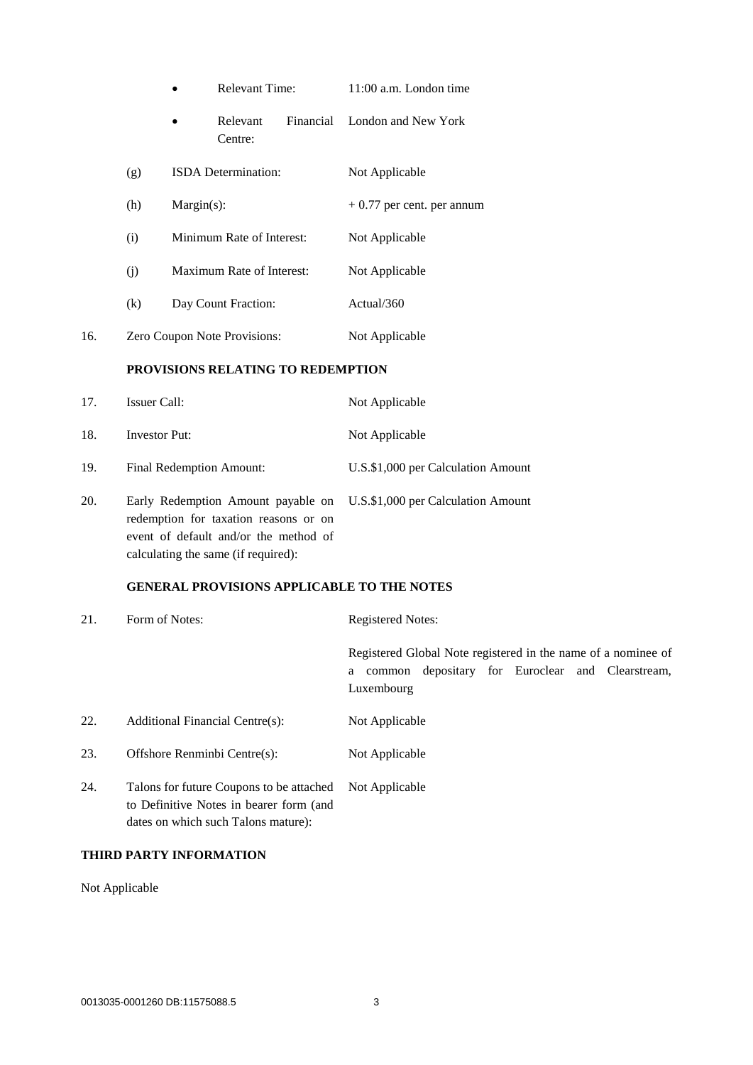|     |                              | <b>Relevant Time:</b>     |                                   | 11:00 a.m. London time |                               |
|-----|------------------------------|---------------------------|-----------------------------------|------------------------|-------------------------------|
|     |                              |                           | Relevant<br>Centre:               |                        | Financial London and New York |
|     | (g)                          |                           | <b>ISDA</b> Determination:        |                        | Not Applicable                |
|     | (h)                          | $Margin(s)$ :             |                                   |                        | $+0.77$ per cent. per annum   |
|     | (i)                          | Minimum Rate of Interest: |                                   |                        | Not Applicable                |
|     | (j)                          |                           | Maximum Rate of Interest:         |                        | Not Applicable                |
|     | (k)                          |                           | Day Count Fraction:               |                        | Actual/360                    |
| 16. | Zero Coupon Note Provisions: |                           | Not Applicable                    |                        |                               |
|     |                              |                           | PROVISIONS RELATING TO REDEMPTION |                        |                               |
| 17. | Issuer Call:                 |                           | Not Applicable                    |                        |                               |
| 18. | <b>Investor Put:</b>         |                           | Not Applicable                    |                        |                               |

- 19. Final Redemption Amount: U.S.\$1,000 per Calculation Amount
- 20. Early Redemption Amount payable on U.S.\$1,000 per Calculation Amount redemption for taxation reasons or on event of default and/or the method of calculating the same (if required):

#### **GENERAL PROVISIONS APPLICABLE TO THE NOTES**

| 21. | Form of Notes:                           | <b>Registered Notes:</b>                                                                                                                 |  |  |  |
|-----|------------------------------------------|------------------------------------------------------------------------------------------------------------------------------------------|--|--|--|
|     |                                          | Registered Global Note registered in the name of a nominee of<br>depositary for Euroclear and Clearstream,<br>common<br>a.<br>Luxembourg |  |  |  |
| 22. | Additional Financial Centre(s):          | Not Applicable                                                                                                                           |  |  |  |
| 23. | Offshore Renminbi Centre(s):             | Not Applicable                                                                                                                           |  |  |  |
| 24. | Talons for future Coupons to be attached | Not Applicable                                                                                                                           |  |  |  |

to Definitive Notes in bearer form (and dates on which such Talons mature):

# **THIRD PARTY INFORMATION**

Not Applicable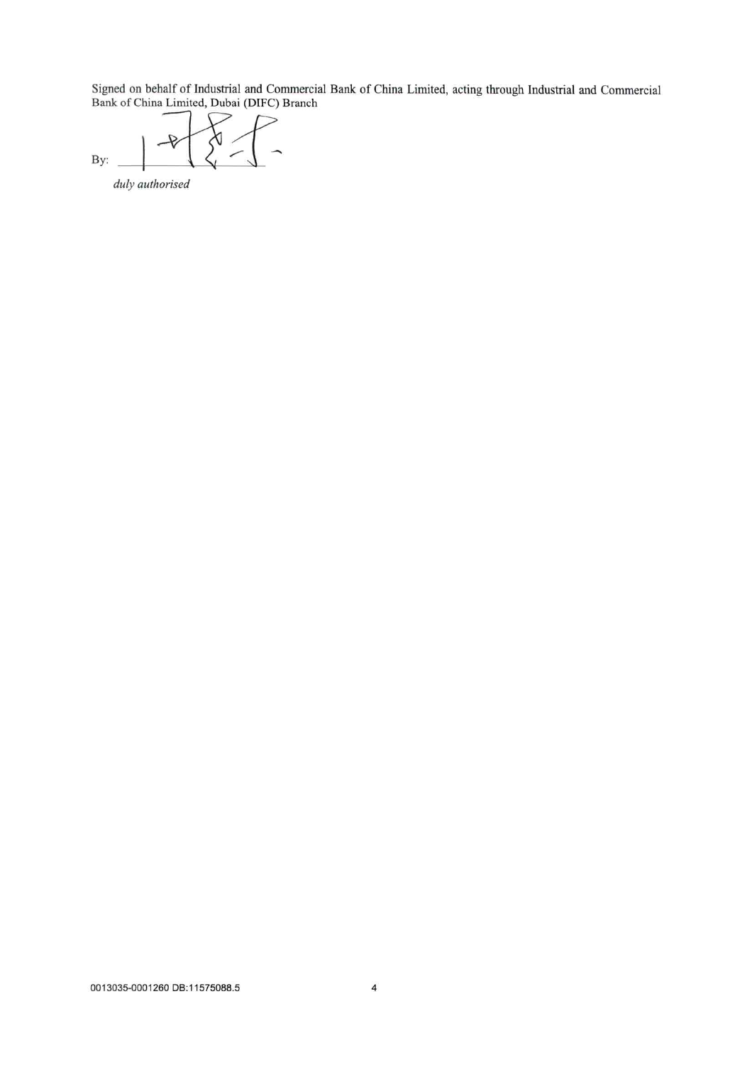Signed on behalf of Industrial and Commercial Bank of China Limited, acting through Industrial and Commercial<br>Bank of China Limited, Dubai (DIFC) Branch

 $\lambda$ By:

duly authorised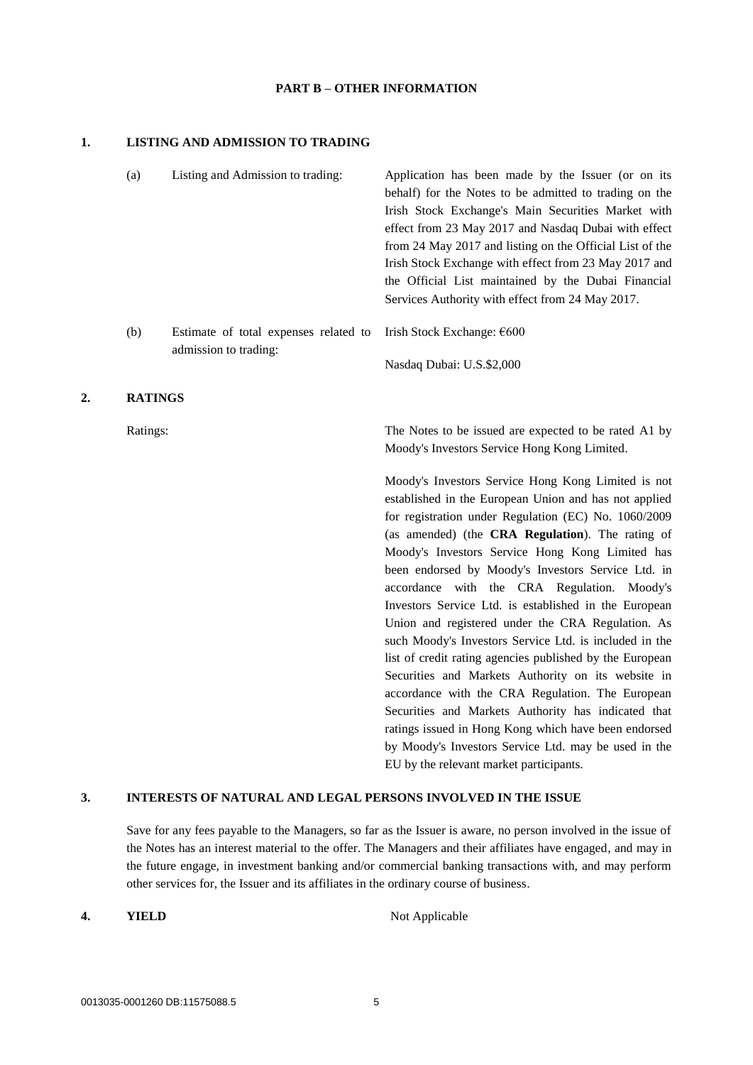#### **PART B – OTHER INFORMATION**

#### **1. LISTING AND ADMISSION TO TRADING**

|    | (a)            | Listing and Admission to trading:                              | Application has been made by the Issuer (or on its<br>behalf) for the Notes to be admitted to trading on the<br>Irish Stock Exchange's Main Securities Market with<br>effect from 23 May 2017 and Nasdaq Dubai with effect<br>from 24 May 2017 and listing on the Official List of the<br>Irish Stock Exchange with effect from 23 May 2017 and<br>the Official List maintained by the Dubai Financial<br>Services Authority with effect from 24 May 2017. |
|----|----------------|----------------------------------------------------------------|------------------------------------------------------------------------------------------------------------------------------------------------------------------------------------------------------------------------------------------------------------------------------------------------------------------------------------------------------------------------------------------------------------------------------------------------------------|
|    | (b)            | Estimate of total expenses related to<br>admission to trading: | Irish Stock Exchange: €600                                                                                                                                                                                                                                                                                                                                                                                                                                 |
|    |                |                                                                | Nasdaq Dubai: U.S.\$2,000                                                                                                                                                                                                                                                                                                                                                                                                                                  |
| 2. | <b>RATINGS</b> |                                                                |                                                                                                                                                                                                                                                                                                                                                                                                                                                            |
|    | Ratings:       |                                                                | The Notes to be issued are expected to be rated A1 by<br>Moody's Investors Service Hong Kong Limited.                                                                                                                                                                                                                                                                                                                                                      |
|    |                |                                                                | Moody's Investors Service Hong Kong Limited is not<br>established in the European Union and has not applied<br>for registration under Regulation (EC) No. 1060/2009<br>(as amended) (the CRA Regulation). The rating of                                                                                                                                                                                                                                    |
|    |                |                                                                | Moody's Investors Service Hong Kong Limited has<br>been endorsed by Moody's Investors Service Ltd. in<br>accordance with the CRA Regulation. Moody's                                                                                                                                                                                                                                                                                                       |
|    |                |                                                                | Investors Service Ltd. is established in the European<br>Union and registered under the CRA Regulation. As                                                                                                                                                                                                                                                                                                                                                 |
|    |                |                                                                | such Moody's Investors Service Ltd. is included in the                                                                                                                                                                                                                                                                                                                                                                                                     |
|    |                |                                                                | list of credit rating agencies published by the European                                                                                                                                                                                                                                                                                                                                                                                                   |
|    |                |                                                                | Securities and Markets Authority on its website in                                                                                                                                                                                                                                                                                                                                                                                                         |
|    |                |                                                                | accordance with the CRA Regulation. The European                                                                                                                                                                                                                                                                                                                                                                                                           |

# **3. INTERESTS OF NATURAL AND LEGAL PERSONS INVOLVED IN THE ISSUE**

Save for any fees payable to the Managers, so far as the Issuer is aware, no person involved in the issue of the Notes has an interest material to the offer. The Managers and their affiliates have engaged, and may in the future engage, in investment banking and/or commercial banking transactions with, and may perform other services for, the Issuer and its affiliates in the ordinary course of business.

**4. YIELD** Not Applicable

Securities and Markets Authority has indicated that ratings issued in Hong Kong which have been endorsed by Moody's Investors Service Ltd. may be used in the

EU by the relevant market participants.